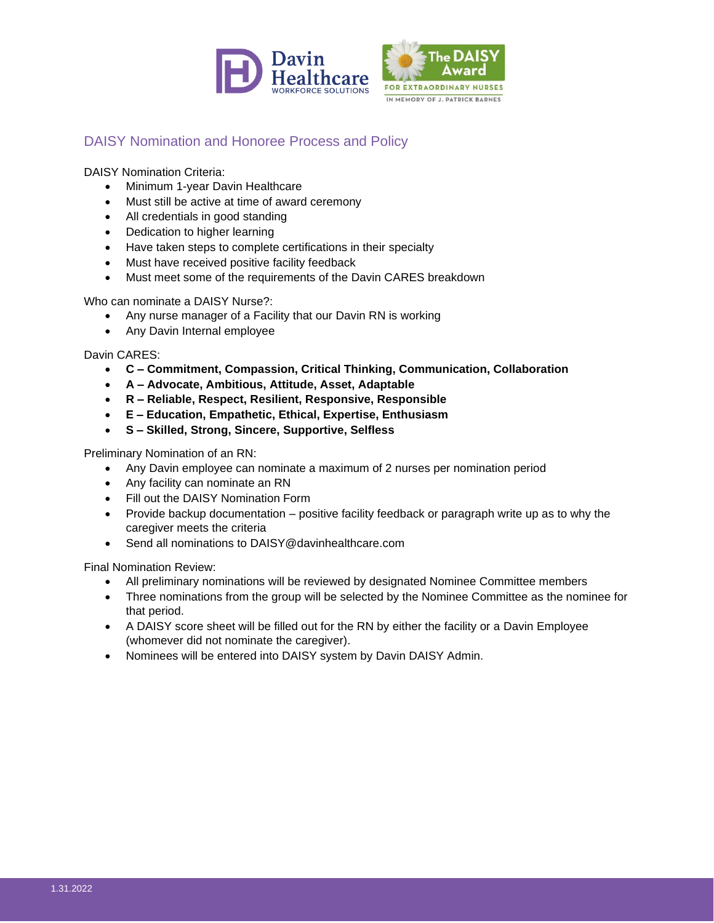



## DAISY Nomination and Honoree Process and Policy

DAISY Nomination Criteria:

- Minimum 1-year Davin Healthcare
- Must still be active at time of award ceremony
- All credentials in good standing
- Dedication to higher learning
- Have taken steps to complete certifications in their specialty
- Must have received positive facility feedback
- Must meet some of the requirements of the Davin CARES breakdown

Who can nominate a DAISY Nurse?:

- Any nurse manager of a Facility that our Davin RN is working
- Any Davin Internal employee

Davin CARES:

- **C – Commitment, Compassion, Critical Thinking, Communication, Collaboration**
- **A – Advocate, Ambitious, Attitude, Asset, Adaptable**
- **R – Reliable, Respect, Resilient, Responsive, Responsible**
- **E – Education, Empathetic, Ethical, Expertise, Enthusiasm**
- **S – Skilled, Strong, Sincere, Supportive, Selfless**

Preliminary Nomination of an RN:

- Any Davin employee can nominate a maximum of 2 nurses per nomination period
- Any facility can nominate an RN
- Fill out the DAISY Nomination Form
- Provide backup documentation positive facility feedback or paragraph write up as to why the caregiver meets the criteria
- Send all nominations to DAISY@davinhealthcare.com

Final Nomination Review:

- All preliminary nominations will be reviewed by designated Nominee Committee members
- Three nominations from the group will be selected by the Nominee Committee as the nominee for that period.
- A DAISY score sheet will be filled out for the RN by either the facility or a Davin Employee (whomever did not nominate the caregiver).
- Nominees will be entered into DAISY system by Davin DAISY Admin.